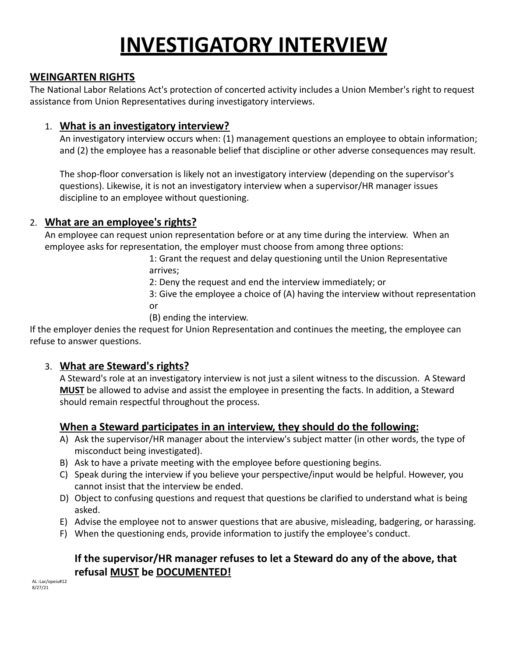# **INVESTIGATORY INTERVIEW**

#### **WEINGARTEN RIGHTS**

The National Labor Relations Act's protection of concerted activity includes a Union Member's right to request assistance from Union Representatives during investigatory interviews.

#### 1. **What is an investigatory interview?**

An investigatory interview occurs when: (1) management questions an employee to obtain information; and (2) the employee has a reasonable belief that discipline or other adverse consequences may result.

The shop-floor conversation is likely not an investigatory interview (depending on the supervisor's questions). Likewise, it is not an investigatory interview when a supervisor/HR manager issues discipline to an employee without questioning.

### 2. **What are an employee's rights?**

An employee can request union representation before or at any time during the interview. When an employee asks for representation, the employer must choose from among three options:

> 1: Grant the request and delay questioning until the Union Representative arrives;

2: Deny the request and end the interview immediately; or

3: Give the employee a choice of (A) having the interview without representation or

(B) ending the interview.

If the employer denies the request for Union Representation and continues the meeting, the employee can refuse to answer questions.

### 3. **What are Steward's rights?**

A Steward's role at an investigatory interview is not just a silent witness to the discussion. A Steward **MUST** be allowed to advise and assist the employee in presenting the facts. In addition, a Steward should remain respectful throughout the process.

### **When a Steward participates in an interview, they should do the following:**

- A) Ask the supervisor/HR manager about the interview's subject matter (in other words, the type of misconduct being investigated).
- B) Ask to have a private meeting with the employee before questioning begins.
- C) Speak during the interview if you believe your perspective/input would be helpful. However, you cannot insist that the interview be ended.
- D) Object to confusing questions and request that questions be clarified to understand what is being asked.
- E) Advise the employee not to answer questions that are abusive, misleading, badgering, or harassing.
- F) When the questioning ends, provide information to justify the employee's conduct.

## **If the supervisor/HR manager refuses to let a Steward do any of the above, that refusal MUST be DOCUMENTED!**

AL :Lac/opeiu#12 8/27/21